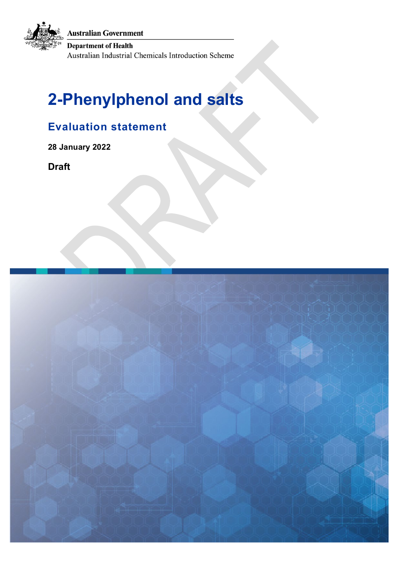**Australian Government** 

**Department of Health** 

Australian Industrial Chemicals Introduction Scheme

# **2-Phenylphenol and salts**

## **Evaluation statement**

**28 January 2022** 

**Draft**

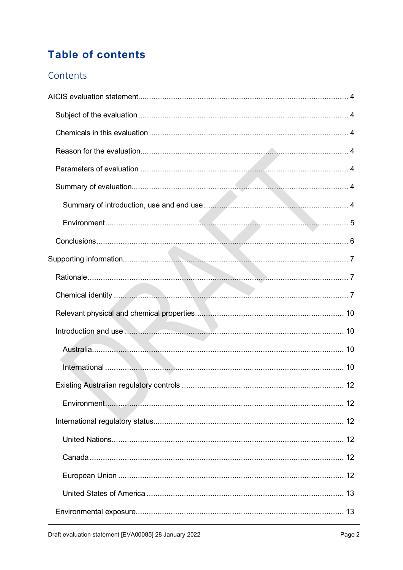# **Table of contents**

### Contents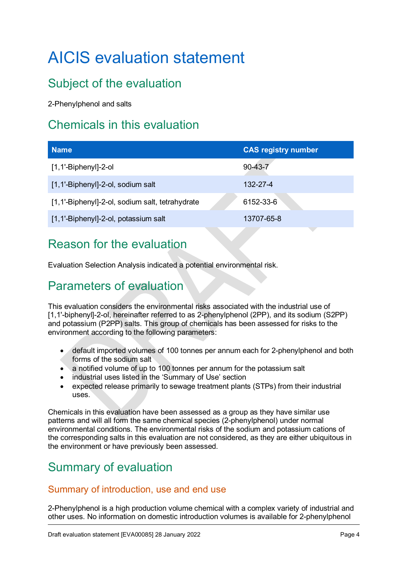# <span id="page-3-0"></span>AICIS evaluation statement

# <span id="page-3-1"></span>Subject of the evaluation

2-Phenylphenol and salts

## <span id="page-3-2"></span>Chemicals in this evaluation

| <b>Name</b>                                     | <b>CAS</b> registry number |
|-------------------------------------------------|----------------------------|
| $[1,1'-Biphenyl]-2-ol$                          | $90-43-7$                  |
| [1,1'-Biphenyl]-2-ol, sodium salt               | 132-27-4                   |
| [1,1'-Biphenyl]-2-ol, sodium salt, tetrahydrate | 6152-33-6                  |
| [1,1'-Biphenyl]-2-ol, potassium salt            | 13707-65-8                 |

## <span id="page-3-3"></span>Reason for the evaluation

Evaluation Selection Analysis indicated a potential environmental risk.

# <span id="page-3-4"></span>Parameters of evaluation

This evaluation considers the environmental risks associated with the industrial use of [1,1'-biphenyl]-2-ol, hereinafter referred to as 2-phenylphenol (2PP), and its sodium (S2PP) and potassium (P2PP) salts. This group of chemicals has been assessed for risks to the environment according to the following parameters:

- default imported volumes of 100 tonnes per annum each for 2-phenylphenol and both forms of the sodium salt
- a notified volume of up to 100 tonnes per annum for the potassium salt
- industrial uses listed in the 'Summary of Use' section
- expected release primarily to sewage treatment plants (STPs) from their industrial uses.

Chemicals in this evaluation have been assessed as a group as they have similar use patterns and will all form the same chemical species (2-phenylphenol) under normal environmental conditions. The environmental risks of the sodium and potassium cations of the corresponding salts in this evaluation are not considered, as they are either ubiquitous in the environment or have previously been assessed.

### <span id="page-3-5"></span>Summary of evaluation

#### <span id="page-3-6"></span>Summary of introduction, use and end use

2-Phenylphenol is a high production volume chemical with a complex variety of industrial and other uses. No information on domestic introduction volumes is available for 2-phenylphenol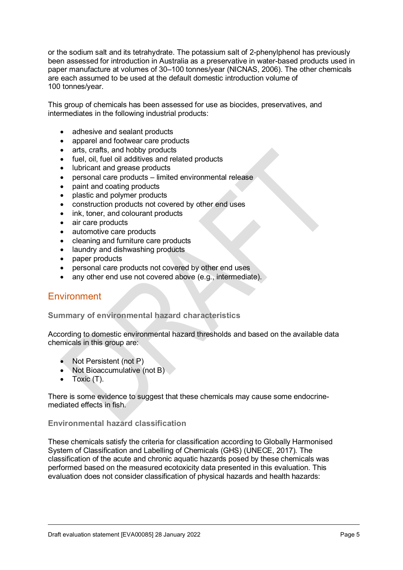or the sodium salt and its tetrahydrate. The potassium salt of 2-phenylphenol has previously been assessed for introduction in Australia as a preservative in water-based products used in paper manufacture at volumes of 30–100 tonnes/year (NICNAS, 2006). The other chemicals are each assumed to be used at the default domestic introduction volume of 100 tonnes/year.

This group of chemicals has been assessed for use as biocides, preservatives, and intermediates in the following industrial products:

- adhesive and sealant products
- apparel and footwear care products
- arts, crafts, and hobby products
- fuel, oil, fuel oil additives and related products
- lubricant and grease products
- personal care products limited environmental release
- paint and coating products
- plastic and polymer products
- construction products not covered by other end uses
- ink, toner, and colourant products
- air care products
- automotive care products
- cleaning and furniture care products
- laundry and dishwashing products
- paper products
- personal care products not covered by other end uses
- any other end use not covered above (e.g., intermediate).

#### <span id="page-4-0"></span>**Environment**

#### **Summary of environmental hazard characteristics**

According to domestic environmental hazard thresholds and based on the available data chemicals in this group are:

- Not Persistent (not P)
- Not Bioaccumulative (not B)
- Toxic (T).

There is some evidence to suggest that these chemicals may cause some endocrinemediated effects in fish.

#### **Environmental hazard classification**

These chemicals satisfy the criteria for classification according to Globally Harmonised System of Classification and Labelling of Chemicals (GHS) (UNECE, 2017). The classification of the acute and chronic aquatic hazards posed by these chemicals was performed based on the measured ecotoxicity data presented in this evaluation. This evaluation does not consider classification of physical hazards and health hazards: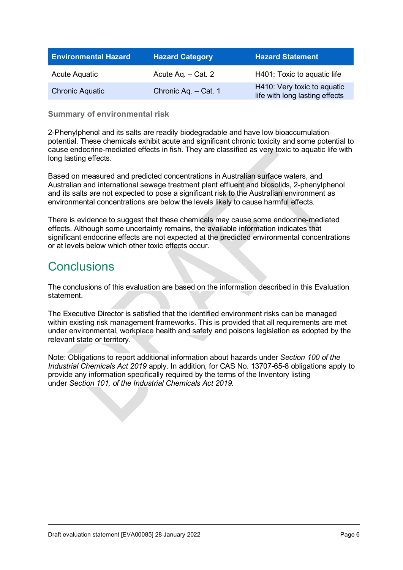| <b>Environmental Hazard</b> | <b>Hazard Category</b> | <b>Hazard Statement</b>                                       |
|-----------------------------|------------------------|---------------------------------------------------------------|
| Acute Aquatic               | Acute Ag. - Cat. 2     | H401: Toxic to aquatic life                                   |
| <b>Chronic Aquatic</b>      | Chronic Aq. - Cat. 1   | H410: Very toxic to aquatic<br>life with long lasting effects |

**Summary of environmental risk**

2-Phenylphenol and its salts are readily biodegradable and have low bioaccumulation potential. These chemicals exhibit acute and significant chronic toxicity and some potential to cause endocrine-mediated effects in fish. They are classified as very toxic to aquatic life with long lasting effects.

Based on measured and predicted concentrations in Australian surface waters, and Australian and international sewage treatment plant effluent and biosolids, 2-phenylphenol and its salts are not expected to pose a significant risk to the Australian environment as environmental concentrations are below the levels likely to cause harmful effects.

There is evidence to suggest that these chemicals may cause some endocrine-mediated effects. Although some uncertainty remains, the available information indicates that significant endocrine effects are not expected at the predicted environmental concentrations or at levels below which other toxic effects occur.

### <span id="page-5-0"></span>**Conclusions**

The conclusions of this evaluation are based on the information described in this Evaluation statement.

The Executive Director is satisfied that the identified environment risks can be managed within existing risk management frameworks. This is provided that all requirements are met under environmental, workplace health and safety and poisons legislation as adopted by the relevant state or territory.

Note: Obligations to report additional information about hazards under *Section 100 of the Industrial Chemicals Act 2019* apply. In addition, for CAS No. 13707-65-8 obligations apply to provide any information specifically required by the terms of the Inventory listing under *Section 101, of the Industrial Chemicals Act 2019.*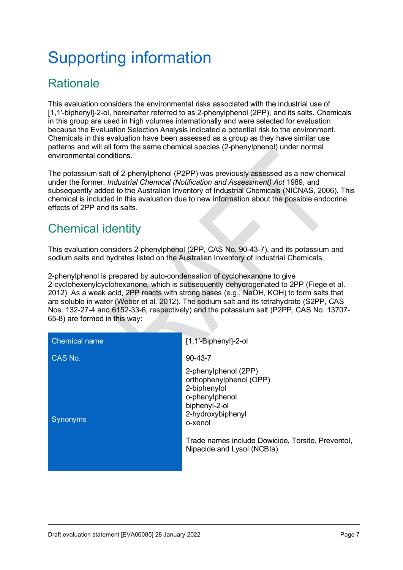# <span id="page-6-0"></span>Supporting information

# <span id="page-6-1"></span>**Rationale**

This evaluation considers the environmental risks associated with the industrial use of [1,1'-biphenyl]-2-ol, hereinafter referred to as 2-phenylphenol (2PP), and its salts. Chemicals in this group are used in high volumes internationally and were selected for evaluation because the Evaluation Selection Analysis indicated a potential risk to the environment. Chemicals in this evaluation have been assessed as a group as they have similar use patterns and will all form the same chemical species (2-phenylphenol) under normal environmental conditions.

The potassium salt of 2-phenylphenol (P2PP) was previously assessed as a new chemical under the former, *Industrial Chemical (Notification and Assessment) Act* 1989, and subsequently added to the Australian Inventory of Industrial Chemicals (NICNAS, 2006). This chemical is included in this evaluation due to new information about the possible endocrine effects of 2PP and its salts.

# <span id="page-6-2"></span>Chemical identity

This evaluation considers 2-phenylphenol (2PP, CAS No. 90-43-7), and its potassium and sodium salts and hydrates listed on the Australian Inventory of Industrial Chemicals.

2-phenylphenol is prepared by auto-condensation of cyclohexanone to give 2-cyclohexenylcyclohexanone, which is subsequently dehydrogenated to 2PP (Fiege et al. 2012). As a weak acid, 2PP reacts with strong bases (e.g., NaOH, KOH) to form salts that are soluble in water (Weber et al. 2012). The sodium salt and its tetrahydrate (S2PP, CAS Nos. 132-27-4 and 6152-33-6, respectively) and the potassium salt (P2PP, CAS No. 13707- 65-8) are formed in this way:

| CAS No.<br>$90 - 43 - 7$<br>2-phenylphenol (2PP)                                                                                                                                                                  | <b>Chemical name</b> |
|-------------------------------------------------------------------------------------------------------------------------------------------------------------------------------------------------------------------|----------------------|
|                                                                                                                                                                                                                   |                      |
| orthophenylphenol (OPP)<br>2-biphenylol<br>o-phenylphenol<br>biphenyl-2-ol<br>2-hydroxybiphenyl<br><b>Synonyms</b><br>o-xenol<br>Trade names include Dowicide, Torsite, Preventol,<br>Nipacide and Lysol (NCBIa). |                      |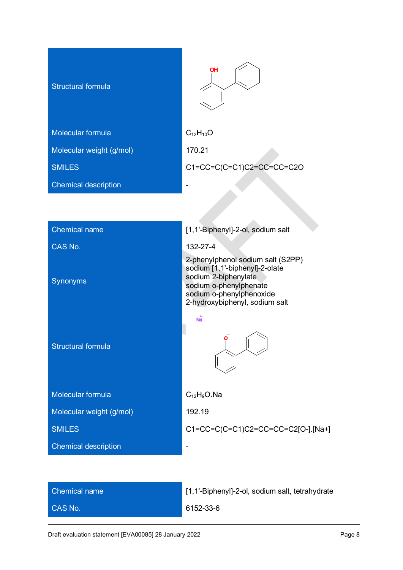| <b>Structural formula</b>   | OH                        |
|-----------------------------|---------------------------|
| Molecular formula           | $C_{12}H_{10}O$           |
| Molecular weight (g/mol)    | 170.21                    |
| <b>SMILES</b>               | C1=CC=C(C=C1)C2=CC=CC=C2O |
| <b>Chemical description</b> |                           |
|                             |                           |

| <b>Chemical name</b>        | [1,1'-Biphenyl]-2-ol, sodium salt                                                                                                                                                   |
|-----------------------------|-------------------------------------------------------------------------------------------------------------------------------------------------------------------------------------|
| CAS No.                     | 132-27-4                                                                                                                                                                            |
| Synonyms                    | 2-phenylphenol sodium salt (S2PP)<br>sodium [1,1'-biphenyl]-2-olate<br>sodium 2-biphenylate<br>sodium o-phenylphenate<br>sodium o-phenylphenoxide<br>2-hydroxybiphenyl, sodium salt |
| <b>Structural formula</b>   | $\overline{Na}$                                                                                                                                                                     |
| Molecular formula           | $C_{12}H_9O$ . Na                                                                                                                                                                   |
| Molecular weight (g/mol)    | 192.19                                                                                                                                                                              |
| <b>SMILES</b>               | C1=CC=C(C=C1)C2=CC=CC=C2[O-].[Na+]                                                                                                                                                  |
| <b>Chemical description</b> |                                                                                                                                                                                     |
|                             |                                                                                                                                                                                     |

| <b>Chemical name</b> |  |
|----------------------|--|
| CAS No.              |  |

[1,1'-Biphenyl]-2-ol, sodium salt, tetrahydrate

6152-33-6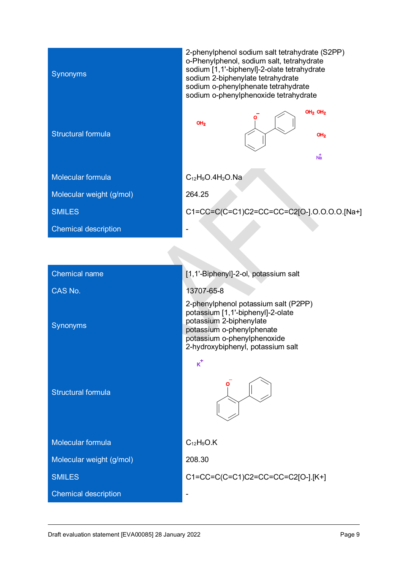| Synonyms                    | 2-phenylphenol sodium salt tetrahydrate (S2PP)<br>o-Phenylphenol, sodium salt, tetrahydrate<br>sodium [1,1'-biphenyl]-2-olate tetrahydrate<br>sodium 2-biphenylate tetrahydrate<br>sodium o-phenylphenate tetrahydrate<br>sodium o-phenylphenoxide tetrahydrate |
|-----------------------------|-----------------------------------------------------------------------------------------------------------------------------------------------------------------------------------------------------------------------------------------------------------------|
| <b>Structural formula</b>   | $OH2$ OH <sub>2</sub><br>OH <sub>2</sub><br>OH <sub>2</sub><br>$N_{a}^{\dagger}$                                                                                                                                                                                |
| Molecular formula           | $C_{12}H_9O.4H_2O.Na$                                                                                                                                                                                                                                           |
| Molecular weight (g/mol)    | 264.25                                                                                                                                                                                                                                                          |
| <b>SMILES</b>               | C1=CC=C(C=C1)C2=CC=CC=C2[O-].O.O.O.O.[Na+]                                                                                                                                                                                                                      |
| <b>Chemical description</b> |                                                                                                                                                                                                                                                                 |
|                             |                                                                                                                                                                                                                                                                 |
|                             |                                                                                                                                                                                                                                                                 |
| <b>Chemical name</b>        | [1,1'-Biphenyl]-2-ol, potassium salt                                                                                                                                                                                                                            |
| CAS No.                     | 13707-65-8                                                                                                                                                                                                                                                      |
| Synonyms                    | 2-phenylphenol potassium salt (P2PP)<br>potassium [1,1'-biphenyl]-2-olate<br>potassium 2-biphenylate<br>potassium o-phenylphenate<br>potassium o-phenylphenoxide<br>2-hydroxybiphenyl, potassium salt                                                           |
|                             | $\kappa^+$                                                                                                                                                                                                                                                      |
| <b>Structural formula</b>   |                                                                                                                                                                                                                                                                 |
| Molecular formula           | $C_{12}H_9O.K$                                                                                                                                                                                                                                                  |
| Molecular weight (g/mol)    | 208.30                                                                                                                                                                                                                                                          |
| <b>SMILES</b>               | C1=CC=C(C=C1)C2=CC=CC=C2[O-].[K+]                                                                                                                                                                                                                               |
| <b>Chemical description</b> |                                                                                                                                                                                                                                                                 |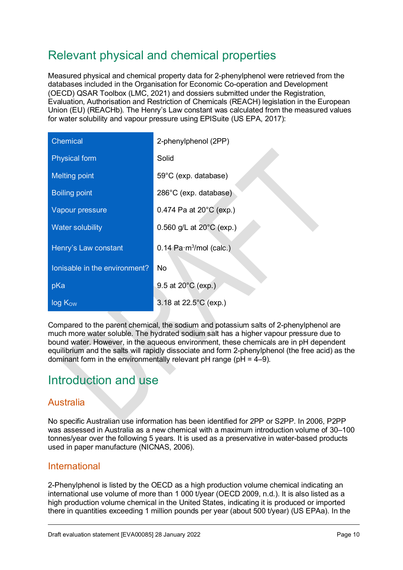## <span id="page-9-0"></span>Relevant physical and chemical properties

Measured physical and chemical property data for 2-phenylphenol were retrieved from the databases included in the Organisation for Economic Co-operation and Development (OECD) QSAR Toolbox (LMC, 2021) and dossiers submitted under the Registration, Evaluation, Authorisation and Restriction of Chemicals (REACH) legislation in the European Union (EU) (REACHb). The Henry's Law constant was calculated from the measured values for water solubility and vapour pressure using EPISuite (US EPA, 2017):

| <b>Chemical</b>               | 2-phenylphenol (2PP)                          |
|-------------------------------|-----------------------------------------------|
| <b>Physical form</b>          | Solid                                         |
| <b>Melting point</b>          | 59°C (exp. database)                          |
| <b>Boiling point</b>          | 286°C (exp. database)                         |
| Vapour pressure               | 0.474 Pa at $20^{\circ}$ C (exp.)             |
| <b>Water solubility</b>       | 0.560 g/L at $20^{\circ}$ C (exp.)            |
| Henry's Law constant          | $0.14$ Pa $\cdot$ m <sup>3</sup> /mol (calc.) |
| Ionisable in the environment? | <b>No</b>                                     |
| pKa                           | 9.5 at 20°C (exp.)                            |
| $log K_{ow}$                  | 3.18 at 22.5°C (exp.)                         |

Compared to the parent chemical, the sodium and potassium salts of 2-phenylphenol are much more water soluble. The hydrated sodium salt has a higher vapour pressure due to bound water. However, in the aqueous environment, these chemicals are in pH dependent equilibrium and the salts will rapidly dissociate and form 2-phenylphenol (the free acid) as the dominant form in the environmentally relevant  $pH$  range ( $pH = 4-9$ ).

### <span id="page-9-1"></span>Introduction and use

### <span id="page-9-2"></span>Australia

No specific Australian use information has been identified for 2PP or S2PP. In 2006, P2PP was assessed in Australia as a new chemical with a maximum introduction volume of 30–100 tonnes/year over the following 5 years. It is used as a preservative in water-based products used in paper manufacture (NICNAS, 2006).

#### <span id="page-9-3"></span>International

2-Phenylphenol is listed by the OECD as a high production volume chemical indicating an international use volume of more than 1 000 t/year (OECD 2009, n.d.). It is also listed as a high production volume chemical in the United States, indicating it is produced or imported there in quantities exceeding 1 million pounds per year (about 500 t/year) (US EPAa). In the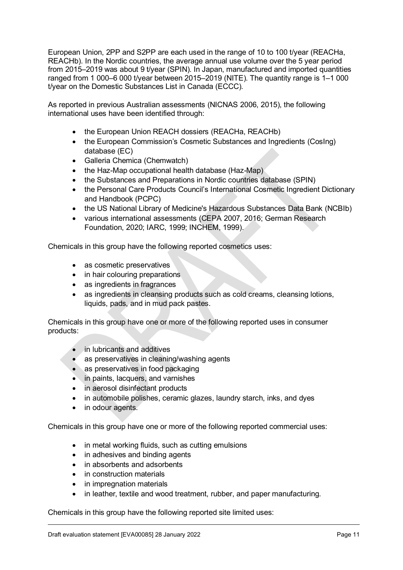European Union, 2PP and S2PP are each used in the range of 10 to 100 t/year (REACHa, REACHb). In the Nordic countries, the average annual use volume over the 5 year period from 2015–2019 was about 9 t/year (SPIN). In Japan, manufactured and imported quantities ranged from 1 000–6 000 t/year between 2015–2019 (NITE). The quantity range is 1–1 000 t/year on the Domestic Substances List in Canada (ECCC).

As reported in previous Australian assessments (NICNAS 2006, 2015), the following international uses have been identified through:

- the European Union REACH dossiers (REACHa, REACHb)
- the European Commission's Cosmetic Substances and Ingredients (CosIng) database (EC)
- Galleria Chemica (Chemwatch)
- the Haz-Map occupational health database (Haz-Map)
- the Substances and Preparations in Nordic countries database (SPIN)
- the Personal Care Products Council's International Cosmetic Ingredient Dictionary and Handbook (PCPC)
- the US National Library of Medicine's Hazardous Substances Data Bank (NCBIb)
- various international assessments (CEPA 2007, 2016; German Research Foundation, 2020; IARC, 1999; INCHEM, 1999).

Chemicals in this group have the following reported cosmetics uses:

- as cosmetic preservatives
- in hair colouring preparations
- as ingredients in fragrances
- as ingredients in cleansing products such as cold creams, cleansing lotions, liquids, pads, and in mud pack pastes.

Chemicals in this group have one or more of the following reported uses in consumer products:

- in lubricants and additives
- as preservatives in cleaning/washing agents
- as preservatives in food packaging
- in paints, lacquers, and varnishes
- in aerosol disinfectant products
- in automobile polishes, ceramic glazes, laundry starch, inks, and dyes
- in odour agents.

Chemicals in this group have one or more of the following reported commercial uses:

- in metal working fluids, such as cutting emulsions
- in adhesives and binding agents
- in absorbents and adsorbents
- in construction materials
- in impregnation materials
- in leather, textile and wood treatment, rubber, and paper manufacturing.

Chemicals in this group have the following reported site limited uses: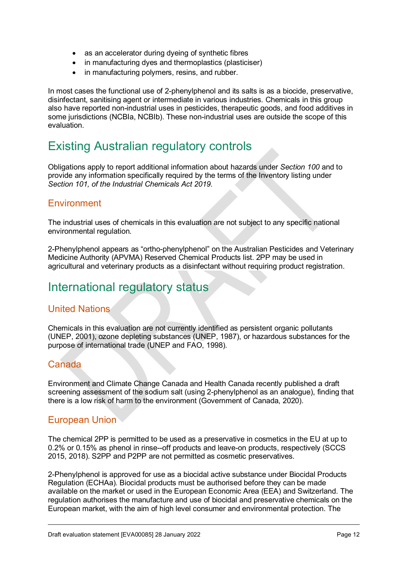- as an accelerator during dyeing of synthetic fibres
- in manufacturing dyes and thermoplastics (plasticiser)
- in manufacturing polymers, resins, and rubber.

In most cases the functional use of 2-phenylphenol and its salts is as a biocide, preservative, disinfectant, sanitising agent or intermediate in various industries. Chemicals in this group also have reported non-industrial uses in pesticides, therapeutic goods, and food additives in some jurisdictions (NCBIa, NCBIb). These non-industrial uses are outside the scope of this evaluation.

### <span id="page-11-0"></span>Existing Australian regulatory controls

Obligations apply to report additional information about hazards under *Section 100* and to provide any information specifically required by the terms of the Inventory listing under *Section 101, of the Industrial Chemicals Act 2019.*

#### <span id="page-11-1"></span>**Environment**

The industrial uses of chemicals in this evaluation are not subject to any specific national environmental regulation.

2-Phenylphenol appears as "ortho-phenylphenol" on the Australian Pesticides and Veterinary Medicine Authority (APVMA) Reserved Chemical Products list. 2PP may be used in agricultural and veterinary products as a disinfectant without requiring product registration.

### <span id="page-11-2"></span>International regulatory status

#### <span id="page-11-3"></span>United Nations

Chemicals in this evaluation are not currently identified as persistent organic pollutants (UNEP, 2001), ozone depleting substances (UNEP, 1987), or hazardous substances for the purpose of international trade (UNEP and FAO, 1998).

#### <span id="page-11-4"></span>Canada

Environment and Climate Change Canada and Health Canada recently published a draft screening assessment of the sodium salt (using 2-phenylphenol as an analogue), finding that there is a low risk of harm to the environment (Government of Canada, 2020).

#### <span id="page-11-5"></span>European Union

The chemical 2PP is permitted to be used as a preservative in cosmetics in the EU at up to 0.2% or 0.15% as phenol in rinse--off products and leave-on products, respectively (SCCS 2015, 2018). S2PP and P2PP are not permitted as cosmetic preservatives.

2-Phenylphenol is approved for use as a biocidal active substance under Biocidal Products Regulation (ECHAa). Biocidal products must be authorised before they can be made available on the market or used in the European Economic Area (EEA) and Switzerland. The regulation authorises the manufacture and use of biocidal and preservative chemicals on the European market, with the aim of high level consumer and environmental protection. The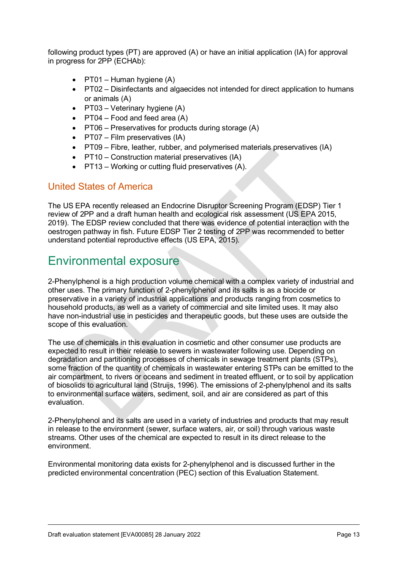following product types (PT) are approved (A) or have an initial application (IA) for approval in progress for 2PP (ECHAb):

- $PT01 H$ uman hygiene  $(A)$
- PT02 Disinfectants and algaecides not intended for direct application to humans or animals (A)
- PT03 Veterinary hygiene (A)
- PT04 Food and feed area  $(A)$
- PT06 Preservatives for products during storage (A)
- PT07 Film preservatives (IA)
- PT09 Fibre, leather, rubber, and polymerised materials preservatives (IA)
- PT10 Construction material preservatives (IA)
- PT13 Working or cutting fluid preservatives (A).

#### <span id="page-12-0"></span>United States of America

The US EPA recently released an Endocrine Disruptor Screening Program (EDSP) Tier 1 review of 2PP and a draft human health and ecological risk assessment (US EPA 2015, 2019). The EDSP review concluded that there was evidence of potential interaction with the oestrogen pathway in fish. Future EDSP Tier 2 testing of 2PP was recommended to better understand potential reproductive effects (US EPA, 2015).

### <span id="page-12-1"></span>Environmental exposure

2-Phenylphenol is a high production volume chemical with a complex variety of industrial and other uses. The primary function of 2-phenylphenol and its salts is as a biocide or preservative in a variety of industrial applications and products ranging from cosmetics to household products, as well as a variety of commercial and site limited uses. It may also have non-industrial use in pesticides and therapeutic goods, but these uses are outside the scope of this evaluation.

The use of chemicals in this evaluation in cosmetic and other consumer use products are expected to result in their release to sewers in wastewater following use. Depending on degradation and partitioning processes of chemicals in sewage treatment plants (STPs), some fraction of the quantity of chemicals in wastewater entering STPs can be emitted to the air compartment, to rivers or oceans and sediment in treated effluent, or to soil by application of biosolids to agricultural land (Struijs, 1996). The emissions of 2-phenylphenol and its salts to environmental surface waters, sediment, soil, and air are considered as part of this evaluation.

2-Phenylphenol and its salts are used in a variety of industries and products that may result in release to the environment (sewer, surface waters, air, or soil) through various waste streams. Other uses of the chemical are expected to result in its direct release to the environment.

Environmental monitoring data exists for 2-phenylphenol and is discussed further in the predicted environmental concentration (PEC) section of this Evaluation Statement.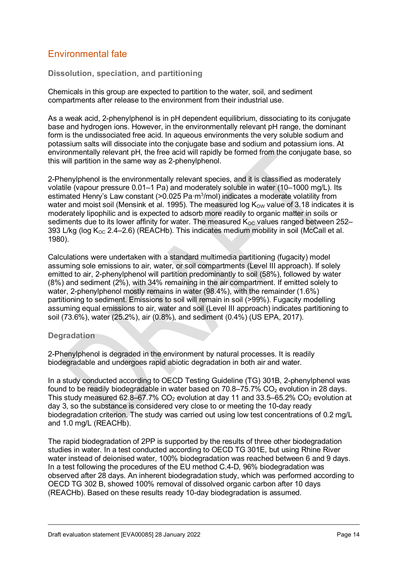### <span id="page-13-0"></span>Environmental fate

**Dissolution, speciation, and partitioning**

Chemicals in this group are expected to partition to the water, soil, and sediment compartments after release to the environment from their industrial use.

As a weak acid, 2-phenylphenol is in pH dependent equilibrium, dissociating to its conjugate base and hydrogen ions. However, in the environmentally relevant pH range, the dominant form is the undissociated free acid. In aqueous environments the very soluble sodium and potassium salts will dissociate into the conjugate base and sodium and potassium ions. At environmentally relevant pH, the free acid will rapidly be formed from the conjugate base, so this will partition in the same way as 2-phenylphenol.

2-Phenylphenol is the environmentally relevant species, and it is classified as moderately volatile (vapour pressure 0.01–1 Pa) and moderately soluble in water (10–1000 mg/L). Its estimated Henry's Law constant (>0.025 Pa·m<sup>3</sup>/mol) indicates a moderate volatility from water and moist soil (Mensink et al. 1995). The measured log  $K_{\text{OW}}$  value of 3.18 indicates it is moderately lipophilic and is expected to adsorb more readily to organic matter in soils or sediments due to its lower affinity for water. The measured  $K_{\text{OC}}$  values ranged between 252– 393 L/kg (log  $K_{\text{OC}}$  2.4–2.6) (REACHb). This indicates medium mobility in soil (McCall et al. 1980).

Calculations were undertaken with a standard multimedia partitioning (fugacity) model assuming sole emissions to air, water, or soil compartments (Level III approach). If solely emitted to air, 2-phenylphenol will partition predominantly to soil (58%), followed by water (8%) and sediment (2%), with 34% remaining in the air compartment. If emitted solely to water, 2-phenylphenol mostly remains in water (98.4%), with the remainder (1.6%) partitioning to sediment. Emissions to soil will remain in soil (>99%). Fugacity modelling assuming equal emissions to air, water and soil (Level III approach) indicates partitioning to soil (73.6%), water (25.2%), air (0.8%), and sediment (0.4%) (US EPA, 2017).

#### **Degradation**

2-Phenylphenol is degraded in the environment by natural processes. It is readily biodegradable and undergoes rapid abiotic degradation in both air and water.

In a study conducted according to OECD Testing Guideline (TG) 301B, 2-phenylphenol was found to be readily biodegradable in water based on  $70.8-75.7\%$  CO<sub>2</sub> evolution in 28 days. This study measured 62.8–67.7%  $CO<sub>2</sub>$  evolution at day 11 and 33.5–65.2%  $CO<sub>2</sub>$  evolution at day 3, so the substance is considered very close to or meeting the 10-day ready biodegradation criterion. The study was carried out using low test concentrations of 0.2 mg/L and 1.0 mg/L (REACHb).

The rapid biodegradation of 2PP is supported by the results of three other biodegradation studies in water. In a test conducted according to OECD TG 301E, but using Rhine River water instead of deionised water, 100% biodegradation was reached between 6 and 9 days. In a test following the procedures of the EU method C.4-D, 96% biodegradation was observed after 28 days. An inherent biodegradation study, which was performed according to OECD TG 302 B, showed 100% removal of dissolved organic carbon after 10 days (REACHb). Based on these results ready 10-day biodegradation is assumed.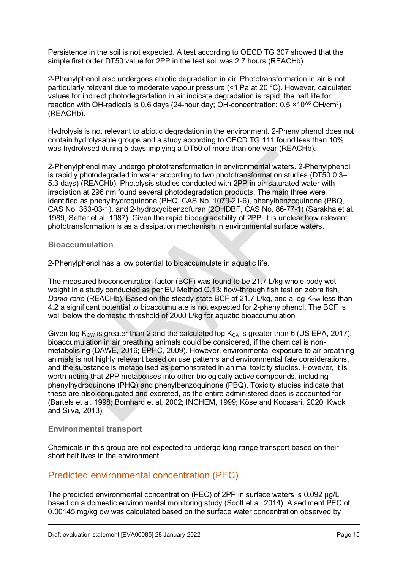Persistence in the soil is not expected. A test according to OECD TG 307 showed that the simple first order DT50 value for 2PP in the test soil was 2.7 hours (REACHb).

2-Phenylphenol also undergoes abiotic degradation in air. Phototransformation in air is not particularly relevant due to moderate vapour pressure (<1 Pa at 20 °C). However, calculated values for indirect photodegradation in air indicate degradation is rapid; the half life for reaction with OH-radicals is 0.6 days (24-hour day; OH-concentration: 0.5 ×10^6 OH/cm3 ) (REACHb).

Hydrolysis is not relevant to abiotic degradation in the environment. 2-Phenylphenol does not contain hydrolysable groups and a study according to OECD TG 111 found less than 10% was hydrolysed during 5 days implying a DT50 of more than one year (REACHb).

2-Phenylphenol may undergo phototransformation in environmental waters. 2-Phenylphenol is rapidly photodegraded in water according to two phototransformation studies (DT50 0.3– 5.3 days) (REACHb). Photolysis studies conducted with 2PP in air-saturated water with irradiation at 296 nm found several photodegradation products. The main three were identified as phenylhydroquinone (PHQ, CAS No. 1079-21-6), phenylbenzoquinone (PBQ, CAS No. 363-03-1), and 2-hydroxydibenzofuran (2OHDBF, CAS No. 86-77-1) (Sarakha et al. 1989, Seffar et al. 1987). Given the rapid biodegradability of 2PP, it is unclear how relevant phototransformation is as a dissipation mechanism in environmental surface waters.

#### **Bioaccumulation**

2-Phenylphenol has a low potential to bioaccumulate in aquatic life.

The measured bioconcentration factor (BCF) was found to be 21.7 L/kg whole body wet weight in a study conducted as per EU Method C.13; flow-through fish test on zebra fish, *Danio rerio* (REACHb). Based on the steady-state BCF of 21.7 L/kg, and a log K<sub>ow</sub> less than 4.2 a significant potential to bioaccumulate is not expected for 2-phenylphenol. The BCF is well below the domestic threshold of 2000 L/kg for aquatic bioaccumulation.

Given log  $K_{\text{OW}}$  is greater than 2 and the calculated log  $K_{\text{OA}}$  is greater than 6 (US EPA, 2017), bioaccumulation in air breathing animals could be considered, if the chemical is nonmetabolising (DAWE, 2016; EPHC, 2009). However, environmental exposure to air breathing animals is not highly relevant based on use patterns and environmental fate considerations, and the substance is metabolised as demonstrated in animal toxicity studies. However, it is worth noting that 2PP metabolises into other biologically active compounds, including phenylhydroquinone (PHQ) and phenylbenzoquinone (PBQ). Toxicity studies indicate that these are also conjugated and excreted, as the entire administered does is accounted for (Bartels et al. 1998; Bomhard et al. 2002; INCHEM, 1999; Köse and Kocasari, 2020, Kwok and Silva, 2013).

#### **Environmental transport**

Chemicals in this group are not expected to undergo long range transport based on their short half lives in the environment.

#### <span id="page-14-0"></span>Predicted environmental concentration (PEC)

The predicted environmental concentration (PEC) of 2PP in surface waters is 0.092 µg/L based on a domestic environmental monitoring study (Scott et al. 2014). A sediment PEC of 0.00145 mg/kg dw was calculated based on the surface water concentration observed by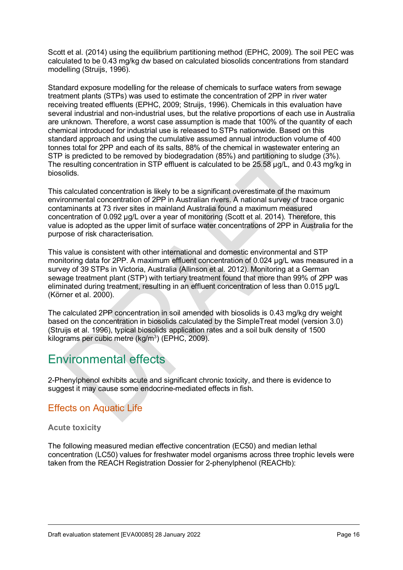Scott et al. (2014) using the equilibrium partitioning method (EPHC, 2009). The soil PEC was calculated to be 0.43 mg/kg dw based on calculated biosolids concentrations from standard modelling (Struijs, 1996).

Standard exposure modelling for the release of chemicals to surface waters from sewage treatment plants (STPs) was used to estimate the concentration of 2PP in river water receiving treated effluents (EPHC, 2009; Struijs, 1996). Chemicals in this evaluation have several industrial and non-industrial uses, but the relative proportions of each use in Australia are unknown. Therefore, a worst case assumption is made that 100% of the quantity of each chemical introduced for industrial use is released to STPs nationwide. Based on this standard approach and using the cumulative assumed annual introduction volume of 400 tonnes total for 2PP and each of its salts, 88% of the chemical in wastewater entering an STP is predicted to be removed by biodegradation (85%) and partitioning to sludge (3%). The resulting concentration in STP effluent is calculated to be 25.58 µg/L, and 0.43 mg/kg in biosolids.

This calculated concentration is likely to be a significant overestimate of the maximum environmental concentration of 2PP in Australian rivers. A national survey of trace organic contaminants at 73 river sites in mainland Australia found a maximum measured concentration of 0.092 µg/L over a year of monitoring (Scott et al. 2014). Therefore, this value is adopted as the upper limit of surface water concentrations of 2PP in Australia for the purpose of risk characterisation.

This value is consistent with other international and domestic environmental and STP monitoring data for 2PP. A maximum effluent concentration of 0.024 µg/L was measured in a survey of 39 STPs in Victoria, Australia (Allinson et al. 2012). Monitoring at a German sewage treatment plant (STP) with tertiary treatment found that more than 99% of 2PP was eliminated during treatment, resulting in an effluent concentration of less than 0.015 µg/L (Körner et al. 2000).

The calculated 2PP concentration in soil amended with biosolids is 0.43 mg/kg dry weight based on the concentration in biosolids calculated by the SimpleTreat model (version 3.0) (Struijs et al. 1996), typical biosolids application rates and a soil bulk density of 1500 kilograms per cubic metre (kg/m<sup>3</sup>) (EPHC, 2009).

### <span id="page-15-0"></span>Environmental effects

2-Phenylphenol exhibits acute and significant chronic toxicity, and there is evidence to suggest it may cause some endocrine-mediated effects in fish.

### <span id="page-15-1"></span>Effects on Aquatic Life

#### **Acute toxicity**

The following measured median effective concentration (EC50) and median lethal concentration (LC50) values for freshwater model organisms across three trophic levels were taken from the REACH Registration Dossier for 2-phenylphenol (REACHb):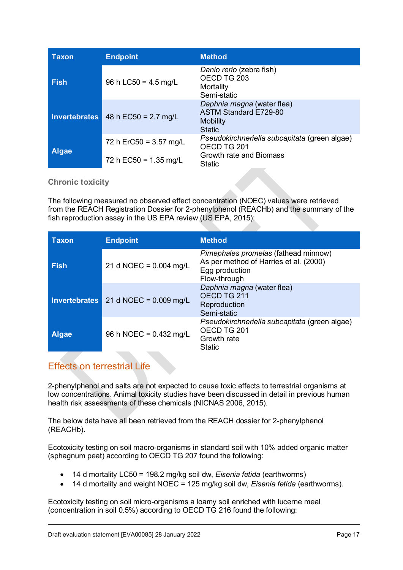| <b>Taxon</b>         | <b>Endpoint</b>                  | <b>Method</b>                                                                                  |
|----------------------|----------------------------------|------------------------------------------------------------------------------------------------|
| <b>Fish</b>          | 96 h LC50 = $4.5 \text{ mg/L}$   | Danio rerio (zebra fish)<br>OECD TG 203<br>Mortality<br>Semi-static                            |
| <b>Invertebrates</b> | 48 h $EC50 = 2.7$ mg/L           | Daphnia magna (water flea)<br><b>ASTM Standard E729-80</b><br><b>Mobility</b><br><b>Static</b> |
| <b>Algae</b>         | 72 h ErC50 = $3.57 \text{ mg/L}$ | Pseudokirchneriella subcapitata (green algae)<br>OECD TG 201                                   |
|                      | 72 h EC50 = $1.35$ mg/L          | Growth rate and Biomass<br>Static                                                              |

**Chronic toxicity**

The following measured no observed effect concentration (NOEC) values were retrieved from the REACH Registration Dossier for 2-phenylphenol (REACHb) and the summary of the fish reproduction assay in the US EPA review (US EPA, 2015):

| <b>Taxon</b>         | <b>Endpoint</b>          | <b>Method</b>                                                                                                    |
|----------------------|--------------------------|------------------------------------------------------------------------------------------------------------------|
| <b>Fish</b>          | 21 d NOEC = $0.004$ mg/L | Pimephales promelas (fathead minnow)<br>As per method of Harries et al. (2000)<br>Egg production<br>Flow-through |
| <b>Invertebrates</b> | 21 d NOEC = $0.009$ mg/L | Daphnia magna (water flea)<br>OECD TG 211<br>Reproduction<br>Semi-static                                         |
| <b>Algae</b>         | 96 h NOEC = 0.432 mg/L   | Pseudokirchneriella subcapitata (green algae)<br>OECD TG 201<br>Growth rate<br><b>Static</b>                     |

### <span id="page-16-0"></span>Effects on terrestrial Life

2-phenylphenol and salts are not expected to cause toxic effects to terrestrial organisms at low concentrations. Animal toxicity studies have been discussed in detail in previous human health risk assessments of these chemicals (NICNAS 2006, 2015).

The below data have all been retrieved from the REACH dossier for 2-phenylphenol (REACHb).

Ecotoxicity testing on soil macro-organisms in standard soil with 10% added organic matter (sphagnum peat) according to OECD TG 207 found the following:

- 14 d mortality LC50 = 198.2 mg/kg soil dw, *Eisenia fetida* (earthworms)
- 14 d mortality and weight NOEC = 125 mg/kg soil dw, *Eisenia fetida* (earthworms).

Ecotoxicity testing on soil micro-organisms a loamy soil enriched with lucerne meal (concentration in soil 0.5%) according to OECD TG 216 found the following: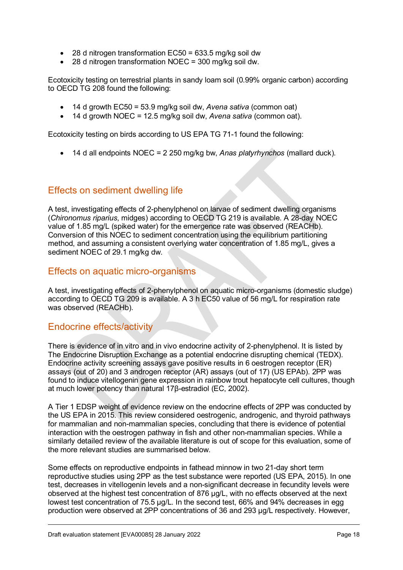- 28 d nitrogen transformation EC50 = 633.5 mg/kg soil dw
- 28 d nitrogen transformation NOEC = 300 mg/kg soil dw.

Ecotoxicity testing on terrestrial plants in sandy loam soil (0.99% organic carbon) according to OECD TG 208 found the following:

- 14 d growth EC50 = 53.9 mg/kg soil dw, *Avena sativa* (common oat)
- 14 d growth NOEC = 12.5 mg/kg soil dw, *Avena sativa* (common oat).

Ecotoxicity testing on birds according to US EPA TG 71-1 found the following:

• 14 d all endpoints NOEC = 2 250 mg/kg bw, *Anas platyrhynchos* (mallard duck).

#### <span id="page-17-0"></span>Effects on sediment dwelling life

A test, investigating effects of 2-phenylphenol on larvae of sediment dwelling organisms (*Chironomus riparius*, midges) according to OECD TG 219 is available. A 28-day NOEC value of 1.85 mg/L (spiked water) for the emergence rate was observed (REACHb). Conversion of this NOEC to sediment concentration using the equilibrium partitioning method, and assuming a consistent overlying water concentration of 1.85 mg/L, gives a sediment NOEC of 29.1 mg/kg dw.

#### <span id="page-17-1"></span>Effects on aquatic micro-organisms

A test, investigating effects of 2-phenylphenol on aquatic micro-organisms (domestic sludge) according to OECD TG 209 is available. A 3 h EC50 value of 56 mg/L for respiration rate was observed (REACHb).

#### <span id="page-17-2"></span>Endocrine effects/activity

There is evidence of in vitro and in vivo endocrine activity of 2-phenylphenol. It is listed by The Endocrine Disruption Exchange as a potential endocrine disrupting chemical (TEDX). Endocrine activity screening assays gave positive results in 6 oestrogen receptor (ER) assays (out of 20) and 3 androgen receptor (AR) assays (out of 17) (US EPAb). 2PP was found to induce vitellogenin gene expression in rainbow trout hepatocyte cell cultures, though at much lower potency than natural 17β-estradiol (EC, 2002).

A Tier 1 EDSP weight of evidence review on the endocrine effects of 2PP was conducted by the US EPA in 2015. This review considered oestrogenic, androgenic, and thyroid pathways for mammalian and non-mammalian species, concluding that there is evidence of potential interaction with the oestrogen pathway in fish and other non-mammalian species. While a similarly detailed review of the available literature is out of scope for this evaluation, some of the more relevant studies are summarised below.

Some effects on reproductive endpoints in fathead minnow in two 21-day short term reproductive studies using 2PP as the test substance were reported (US EPA, 2015). In one test, decreases in vitellogenin levels and a non-significant decrease in fecundity levels were observed at the highest test concentration of 876 µg/L, with no effects observed at the next lowest test concentration of 75.5 µg/L. In the second test, 66% and 94% decreases in egg production were observed at 2PP concentrations of 36 and 293 µg/L respectively. However,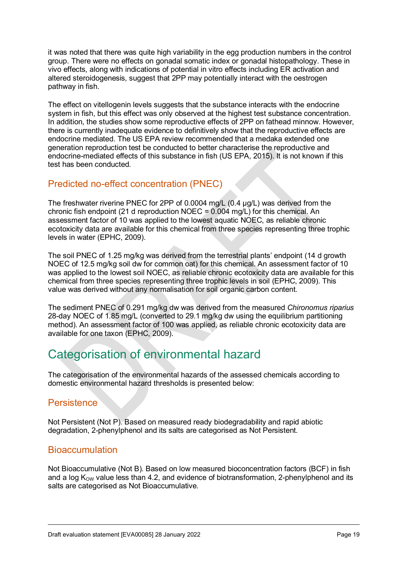it was noted that there was quite high variability in the egg production numbers in the control group. There were no effects on gonadal somatic index or gonadal histopathology. These in vivo effects, along with indications of potential in vitro effects including ER activation and altered steroidogenesis, suggest that 2PP may potentially interact with the oestrogen pathway in fish.

The effect on vitellogenin levels suggests that the substance interacts with the endocrine system in fish, but this effect was only observed at the highest test substance concentration. In addition, the studies show some reproductive effects of 2PP on fathead minnow. However, there is currently inadequate evidence to definitively show that the reproductive effects are endocrine mediated. The US EPA review recommended that a medaka extended one generation reproduction test be conducted to better characterise the reproductive and endocrine-mediated effects of this substance in fish (US EPA, 2015). It is not known if this test has been conducted.

#### <span id="page-18-0"></span>Predicted no-effect concentration (PNEC)

The freshwater riverine PNEC for 2PP of 0.0004 mg/L (0.4 µg/L) was derived from the chronic fish endpoint (21 d reproduction NOEC =  $0.004$  mg/L) for this chemical. An assessment factor of 10 was applied to the lowest aquatic NOEC, as reliable chronic ecotoxicity data are available for this chemical from three species representing three trophic levels in water (EPHC, 2009).

The soil PNEC of 1.25 mg/kg was derived from the terrestrial plants' endpoint (14 d growth NOEC of 12.5 mg/kg soil dw for common oat) for this chemical. An assessment factor of 10 was applied to the lowest soil NOEC, as reliable chronic ecotoxicity data are available for this chemical from three species representing three trophic levels in soil (EPHC, 2009). This value was derived without any normalisation for soil organic carbon content.

The sediment PNEC of 0.291 mg/kg dw was derived from the measured *Chironomus riparius* 28-day NOEC of 1.85 mg/L (converted to 29.1 mg/kg dw using the equilibrium partitioning method). An assessment factor of 100 was applied, as reliable chronic ecotoxicity data are available for one taxon (EPHC, 2009).

# <span id="page-18-1"></span>Categorisation of environmental hazard

The categorisation of the environmental hazards of the assessed chemicals according to domestic environmental hazard thresholds is presented below:

#### <span id="page-18-2"></span>**Persistence**

Not Persistent (Not P). Based on measured ready biodegradability and rapid abiotic degradation, 2-phenylphenol and its salts are categorised as Not Persistent.

#### <span id="page-18-3"></span>**Bioaccumulation**

Not Bioaccumulative (Not B). Based on low measured bioconcentration factors (BCF) in fish and a log  $K_{\text{OW}}$  value less than 4.2, and evidence of biotransformation, 2-phenylphenol and its salts are categorised as Not Bioaccumulative.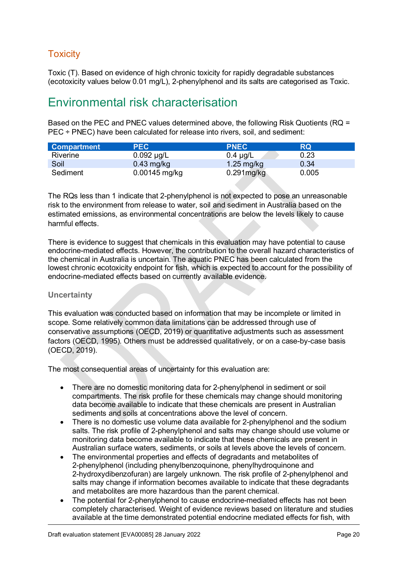### <span id="page-19-0"></span>**Toxicity**

Toxic (T). Based on evidence of high chronic toxicity for rapidly degradable substances (ecotoxicity values below 0.01 mg/L), 2-phenylphenol and its salts are categorised as Toxic.

### <span id="page-19-1"></span>Environmental risk characterisation

Based on the PEC and PNEC values determined above, the following Risk Quotients (RQ = PEC ÷ PNEC) have been calculated for release into rivers, soil, and sediment:

| <b>Compartment</b> | <b>PEC</b>      | <b>PNEC</b>          | <b>RQ</b> |
|--------------------|-----------------|----------------------|-----------|
| Riverine           | $0.092 \mu g/L$ | $0.4 \mu g/L$        | 0.23      |
| Soil               | $0.43$ mg/kg    | $1.25 \text{ mg/kg}$ | 0.34      |
| Sediment           | $0.00145$ mg/kg | $0.291$ mg/kg        | 0.005     |

The RQs less than 1 indicate that 2-phenylphenol is not expected to pose an unreasonable risk to the environment from release to water, soil and sediment in Australia based on the estimated emissions, as environmental concentrations are below the levels likely to cause harmful effects.

There is evidence to suggest that chemicals in this evaluation may have potential to cause endocrine-mediated effects. However, the contribution to the overall hazard characteristics of the chemical in Australia is uncertain. The aquatic PNEC has been calculated from the lowest chronic ecotoxicity endpoint for fish, which is expected to account for the possibility of endocrine-mediated effects based on currently available evidence.

#### **Uncertainty**

This evaluation was conducted based on information that may be incomplete or limited in scope. Some relatively common data limitations can be addressed through use of conservative assumptions (OECD, 2019) or quantitative adjustments such as assessment factors (OECD, 1995). Others must be addressed qualitatively, or on a case-by-case basis (OECD, 2019).

The most consequential areas of uncertainty for this evaluation are:

- There are no domestic monitoring data for 2-phenylphenol in sediment or soil compartments. The risk profile for these chemicals may change should monitoring data become available to indicate that these chemicals are present in Australian sediments and soils at concentrations above the level of concern.
- There is no domestic use volume data available for 2-phenylphenol and the sodium salts. The risk profile of 2-phenylphenol and salts may change should use volume or monitoring data become available to indicate that these chemicals are present in Australian surface waters, sediments, or soils at levels above the levels of concern.
- The environmental properties and effects of degradants and metabolites of 2-phenylphenol (including phenylbenzoquinone, phenylhydroquinone and 2-hydroxydibenzofuran) are largely unknown. The risk profile of 2-phenylphenol and salts may change if information becomes available to indicate that these degradants and metabolites are more hazardous than the parent chemical.
- The potential for 2-phenylphenol to cause endocrine-mediated effects has not been completely characterised. Weight of evidence reviews based on literature and studies available at the time demonstrated potential endocrine mediated effects for fish, with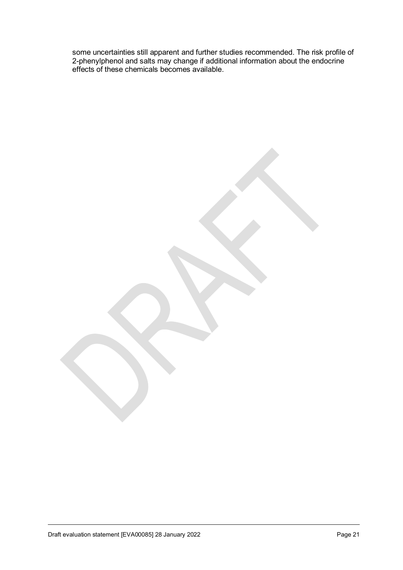some uncertainties still apparent and further studies recommended. The risk profile of 2-phenylphenol and salts may change if additional information about the endocrine effects of these chemicals becomes available.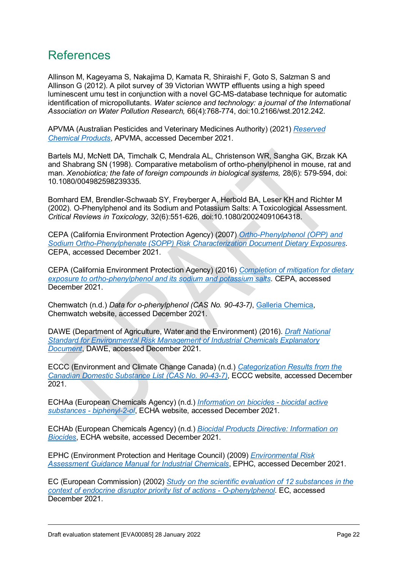### References

Allinson M, Kageyama S, Nakajima D, Kamata R, Shiraishi F, Goto S, Salzman S and Allinson G (2012). A pilot survey of 39 Victorian WWTP effluents using a high speed luminescent umu test in conjunction with a novel GC-MS-database technique for automatic identification of micropollutants. *Water science and technology: a journal of the International Association on Water Pollution Research,* 66(4):768-774, doi:10.2166/wst.2012.242.

APVMA (Australian Pesticides and Veterinary Medicines Authority) (2021) *[Reserved](https://apvma.gov.au/node/172)  [Chemical Products](https://apvma.gov.au/node/172)*, APVMA, accessed December 2021.

Bartels MJ, McNett DA, Timchalk C, Mendrala AL, Christenson WR, Sangha GK, Brzak KA and Shabrang SN (1998). Comparative metabolism of ortho-phenylphenol in mouse, rat and man. *Xenobiotica; the fate of foreign compounds in biological systems,* 28(6): 579-594, doi: 10.1080/004982598239335.

Bomhard EM, Brendler-Schwaab SY, Freyberger A, Herbold BA, Leser KH and Richter M (2002). O-Phenylphenol and its Sodium and Potassium Salts: A Toxicological Assessment. *Critical Reviews in Toxicology,* 32(6):551-626, doi:10.1080/20024091064318.

CEPA (California Environment Protection Agency) (2007) *[Ortho-Phenylphenol \(OPP\) and](https://citeseerx.ist.psu.edu/viewdoc/download?doi=10.1.1.644.4315&rep=rep1&type=pdf)  [Sodium Ortho-Phenylphenate \(SOPP\) Risk Characterization Document Dietary Exposures](https://citeseerx.ist.psu.edu/viewdoc/download?doi=10.1.1.644.4315&rep=rep1&type=pdf)*. CEPA, accessed December 2021.

CEPA (California Environment Protection Agency) (2016) *[Completion of mitigation for dietary](https://www.cdpr.ca.gov/docs/whs/memo/hsm16017.pdf)  [exposure to ortho-phenylphenol and its sodium and potassium salts](https://www.cdpr.ca.gov/docs/whs/memo/hsm16017.pdf)*. CEPA, accessed December 2021.

Chemwatch (n.d.) *Data for o-phenylphenol (CAS No. 90-43-7)*, [Galleria Chemica,](https://jr.chemwatch.net/galleria/) Chemwatch website, accessed December 2021.

DAWE (Department of Agriculture, Water and the Environment) (2016). *[Draft National](https://www.awe.gov.au/environment/protection/chemicals-management/national-standard/draft-legislation)  [Standard for Environmental Risk Management of Industrial Chemicals Explanatory](https://www.awe.gov.au/environment/protection/chemicals-management/national-standard/draft-legislation)  [Document](https://www.awe.gov.au/environment/protection/chemicals-management/national-standard/draft-legislation)*, DAWE, accessed December 2021.

ECCC (Environment and Climate Change Canada) (n.d.) *[Categorization Results from the](https://canadachemicals.oecd.org/Search.aspx)  [Canadian Domestic Substance List \(CAS No.](https://canadachemicals.oecd.org/Search.aspx) 90-43-7)*, ECCC website, accessed December 2021.

ECHAa (European Chemicals Agency) (n.d.) *[Information on biocides - biocidal active](https://echa.europa.eu/information-on-chemicals/biocidal-active-substances/-/disas/substance/100.001.812)  [substances - biphenyl-2-ol](https://echa.europa.eu/information-on-chemicals/biocidal-active-substances/-/disas/substance/100.001.812)*, ECHA website, accessed December 2021.

ECHAb (European Chemicals Agency) (n.d.) *[Biocidal Products Directive: Information on](https://echa.europa.eu/information-on-chemicals/biocidal-active-substances)  [Biocides](https://echa.europa.eu/information-on-chemicals/biocidal-active-substances)*, ECHA website, accessed December 2021.

EPHC (Environment Protection and Heritage Council) (2009) *[Environmental Risk](http://www.nepc.gov.au/resource/chemical-risk-assessment-guidance-manuals)  [Assessment Guidance Manual for Industrial Chemicals](http://www.nepc.gov.au/resource/chemical-risk-assessment-guidance-manuals)*, EPHC, accessed December 2021.

EC (European Commission) (2002) *[Study on the scientific evaluation of 12 substances in the](https://ec.europa.eu/environment/chemicals/endocrine/strategy/substances_en.htm#report1)  [context of endocrine disruptor priority list of actions - O-phenylphenol](https://ec.europa.eu/environment/chemicals/endocrine/strategy/substances_en.htm#report1)*. EC, accessed December 2021.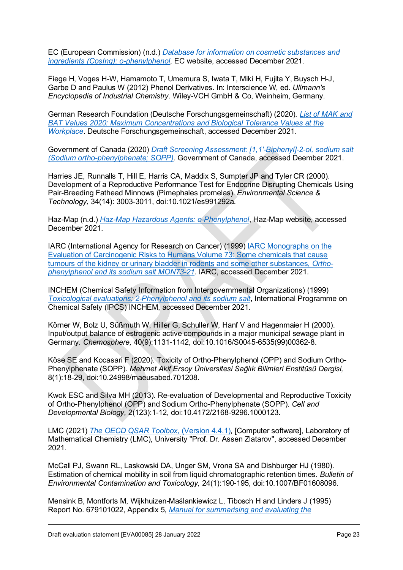EC (European Commission) (n.d.) *[Database for information on cosmetic substances and](https://ec.europa.eu/growth/tools-databases/cosing/)  [ingredients \(CosIng\): o-phenylphenol](https://ec.europa.eu/growth/tools-databases/cosing/)*, EC website, accessed December 2021.

Fiege H, Voges H-W, Hamamoto T, Umemura S, Iwata T, Miki H, Fujita Y, Buysch H-J, Garbe D and Paulus W (2012) Phenol Derivatives. In: Interscience W, ed. *Ullmann's Encyclopedia of Industrial Chemistry*. Wiley-VCH GmbH & Co, Weinheim, Germany.

German Research Foundation (Deutsche Forschungsgemeinschaft) (2020). *[List of MAK and](https://series.publisso.de/sites/default/files/documents/series/mak/lmbv/Vol2020/Iss2/Doc002/mbwl_2020_eng.pdf)  [BAT Values 2020: Maximum Concentrations and Biological Tolerance Values at the](https://series.publisso.de/sites/default/files/documents/series/mak/lmbv/Vol2020/Iss2/Doc002/mbwl_2020_eng.pdf)  [Workplace](https://series.publisso.de/sites/default/files/documents/series/mak/lmbv/Vol2020/Iss2/Doc002/mbwl_2020_eng.pdf)*. Deutsche Forschungsgemeinschaft, accessed December 2021.

Government of Canada (2020) *[Draft Screening Assessment: \[1,1'-Biphenyl\]-2-ol, sodium salt](https://www.canada.ca/en/environment-climate-change/services/evaluating-existing-substances/draft-screening-assessment-sodium-ortho-phenylphenate-sopp.html)  [\(Sodium ortho-phenylphenate; SOPP\)](https://www.canada.ca/en/environment-climate-change/services/evaluating-existing-substances/draft-screening-assessment-sodium-ortho-phenylphenate-sopp.html)*. Government of Canada, accessed Deember 2021.

Harries JE, Runnalls T, Hill E, Harris CA, Maddix S, Sumpter JP and Tyler CR (2000). Development of a Reproductive Performance Test for Endocrine Disrupting Chemicals Using Pair-Breeding Fathead Minnows (Pimephales promelas). *Environmental Science & Technology,* 34(14): 3003-3011, doi:10.1021/es991292a.

Haz-Map (n.d.) *[Haz-Map Hazardous Agents: o-Phenylphenol](https://haz-map.com/Agents/6418)*, Haz-Map website, accessed December 2021.

IARC (International Agency for Research on Cancer) (1999) [IARC Monographs on the](https://publications.iarc.fr/_publications/media/download/2458/886e6d38b990cc379b637d14907b51a6c09beaac.pdf)  [Evaluation of Carcinogenic Risks to Humans Volume 73: Some chemicals that cause](https://publications.iarc.fr/_publications/media/download/2458/886e6d38b990cc379b637d14907b51a6c09beaac.pdf)  [tumours of the kidney or urinary bladder in rodents and some other substances,](https://publications.iarc.fr/_publications/media/download/2458/886e6d38b990cc379b637d14907b51a6c09beaac.pdf) *Ortho[phenylphenol and its sodium salt MON73-21](https://publications.iarc.fr/_publications/media/download/2458/886e6d38b990cc379b637d14907b51a6c09beaac.pdf)*. IARC, accessed December 2021.

INCHEM (Chemical Safety Information from Intergovernmental Organizations) (1999) *[Toxicological evaluations: 2-Phenylphenol and its sodium salt](https://inchem.org/documents/jmpr/jmpmono/v99pr08.htm)*, International Programme on Chemical Safety (IPCS) INCHEM, accessed December 2021.

Körner W, Bolz U, Süßmuth W, Hiller G, Schuller W, Hanf V and Hagenmaier H (2000). Input/output balance of estrogenic active compounds in a major municipal sewage plant in Germany. *Chemosphere,* 40(9):1131-1142, doi:10.1016/S0045-6535(99)00362-8.

Köse SE and Kocasari F (2020). Toxicity of Ortho-Phenylphenol (OPP) and Sodium Ortho-Phenylphenate (SOPP). *Mehmet Akif Ersoy Üniversitesi Sağlık Bilimleri Enstitüsü Dergisi,* 8(1):18-29, doi:10.24998/maeusabed.701208.

Kwok ESC and Silva MH (2013). Re-evaluation of Developmental and Reproductive Toxicity of Ortho-Phenylphenol (OPP) and Sodium Ortho-Phenylphenate (SOPP). *Cell and Developmental Biology,* 2(123):1-12, doi:10.4172/2168-9296.1000123.

LMC (2021) *[The OECD QSAR Toolbox](https://qsartoolbox.org/)*, (Version 4.4.1), [Computer software], Laboratory of Mathematical Chemistry (LMC), University "Prof. Dr. Assen Zlatarov", accessed December 2021.

McCall PJ, Swann RL, Laskowski DA, Unger SM, Vrona SA and Dishburger HJ (1980). Estimation of chemical mobility in soil from liquid chromatographic retention times. *Bulletin of Environmental Contamination and Toxicology,* 24(1):190-195, doi:10.1007/BF01608096.

Mensink B, Montforts M, Wijkhuizen-Maślankiewicz L, Tibosch H and Linders J (1995) Report No. 679101022, Appendix 5, *[Manual for summarising and evaluating the](http://www.rivm.nl/bibliotheek/rapporten/679101022.html)*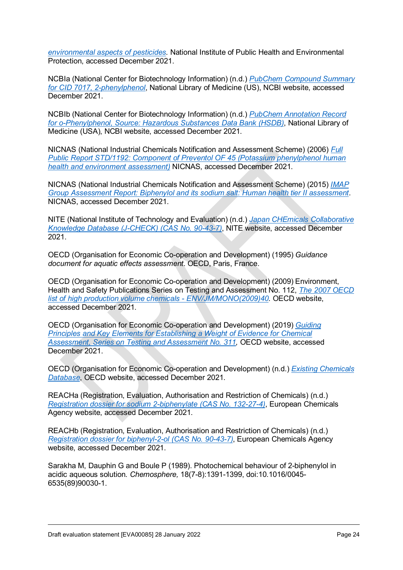*[environmental aspects](http://www.rivm.nl/bibliotheek/rapporten/679101022.html) of pesticides*. National Institute of Public Health and Environmental Protection, accessed December 2021.

NCBIa (National Center for Biotechnology Information) (n.d.) *[PubChem Compound Summary](https://pubchem.ncbi.nlm.nih.gov/compound/7017)  [for CID 7017, 2-phenylphenol](https://pubchem.ncbi.nlm.nih.gov/compound/7017)*, National Library of Medicine (US), NCBI website, accessed December 2021.

NCBIb (National Center for Biotechnology Information) (n.d.) *[PubChem Annotation Record](https://pubchem.ncbi.nlm.nih.gov/source/hsdb/1753)  [for o-Phenylphenol, Source: Hazardous Substances Data Bank \(HSDB\)](https://pubchem.ncbi.nlm.nih.gov/source/hsdb/1753)*, National Library of Medicine (USA), NCBI website, accessed December 2021.

NICNAS (National Industrial Chemicals Notification and Assessment Scheme) (2006) *[Full](https://www.industrialchemicals.gov.au/sites/default/files/STD1192%20Public%20Report%20PDF.pdf)  [Public Report STD/1192: Component of Preventol OF 45 \(Potassium phenylphenol human](https://www.industrialchemicals.gov.au/sites/default/files/STD1192%20Public%20Report%20PDF.pdf)  [health and environment assessment\)](https://www.industrialchemicals.gov.au/sites/default/files/STD1192%20Public%20Report%20PDF.pdf)* NICNAS, accessed December 2021.

NICNAS (National Industrial Chemicals Notification and Assessment Scheme) (2015) *[IMAP](https://www.industrialchemicals.gov.au/sites/default/files/Biphenylol%20and%20its%20sodium%20salt_Human%20health%20tier%20II%20assessment.pdf)  [Group Assessment Report: Biphenylol and its sodium salt: Human health tier II assessment](https://www.industrialchemicals.gov.au/sites/default/files/Biphenylol%20and%20its%20sodium%20salt_Human%20health%20tier%20II%20assessment.pdf)*. NICNAS, accessed December 2021.

NITE (National Institute of Technology and Evaluation) (n.d.) *[Japan CHEmicals Collaborative](http://www.safe.nite.go.jp/jcheck/search.action?request_locale=en)  [Knowledge Database \(J-CHECK\) \(CAS No.](http://www.safe.nite.go.jp/jcheck/search.action?request_locale=en) 90-43-7)*, NITE website, accessed December 2021.

OECD (Organisation for Economic Co-operation and Development) (1995) *Guidance document for aquatic effects assessment*. OECD, Paris, France.

OECD (Organisation for Economic Co-operation and Development) (2009) Environment, Health and Safety Publications Series on Testing and Assessment No. 112, *[The 2007 OECD](https://www.oecd.org/officialdocuments/publicdisplaydocumentpdf/?cote=env/jm/mono(2009)40&doclanguage=en)  [list of high production volume chemicals - ENV/JM/MONO\(2009\)40](https://www.oecd.org/officialdocuments/publicdisplaydocumentpdf/?cote=env/jm/mono(2009)40&doclanguage=en)*. OECD website, accessed December 2021.

OECD (Organisation for Economic Co-operation and Development) (2019) *[Guiding](https://www.oecd.org/chemicalsafety/risk-assessment/guiding-principles-and-key-elements-for-establishing-a-weight-of-evidence-for-chemical-assessment.pdf)  [Principles and Key Elements for Establishing a Weight of Evidence for Chemical](https://www.oecd.org/chemicalsafety/risk-assessment/guiding-principles-and-key-elements-for-establishing-a-weight-of-evidence-for-chemical-assessment.pdf)  [Assessment, Series on Testing and Assessment No. 311,](https://www.oecd.org/chemicalsafety/risk-assessment/guiding-principles-and-key-elements-for-establishing-a-weight-of-evidence-for-chemical-assessment.pdf)* OECD website, accessed December 2021.

OECD (Organisation for Economic Co-operation and Development) (n.d.) *[Existing Chemicals](https://hpvchemicals.oecd.org/UI/AllChemicals.aspx)  [Database](https://hpvchemicals.oecd.org/UI/AllChemicals.aspx)*, OECD website, accessed December 2021.

REACHa (Registration, Evaluation, Authorisation and Restriction of Chemicals) (n.d.) *[Registration dossier for sodium 2-biphenylate \(CAS No.](https://echa.europa.eu/registration-dossier/-/registered-dossier/25682/) 132-27-4)*, European Chemicals Agency website, accessed December 2021.

REACHb (Registration, Evaluation, Authorisation and Restriction of Chemicals) (n.d.) *[Registration dossier for biphenyl-2-ol \(CAS No.](https://echa.europa.eu/registration-dossier/-/registered-dossier/2168) 90-43-7)*, European Chemicals Agency website, accessed December 2021.

Sarakha M, Dauphin G and Boule P (1989). Photochemical behaviour of 2-biphenylol in acidic aqueous solution. *Chemosphere,* 18(7-8):1391-1399, doi:10.1016/0045- 6535(89)90030-1.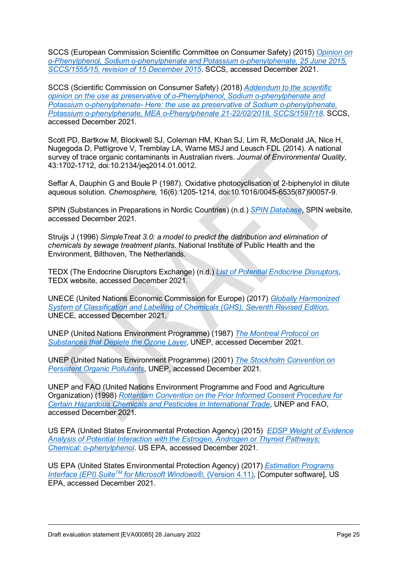SCCS (European Commission Scientific Committee on Consumer Safety) (2015) *[Opinion on](https://ec.europa.eu/health/scientific_committees/consumer_safety/docs/sccs_o_177.pdf)  [o-Phenylphenol, Sodium o-phenylphenate and Potassium o-phenylphenate, 25 June 2015,](https://ec.europa.eu/health/scientific_committees/consumer_safety/docs/sccs_o_177.pdf)  [SCCS/1555/15, revision of 15 December 2015](https://ec.europa.eu/health/scientific_committees/consumer_safety/docs/sccs_o_177.pdf)*. SCCS, accessed December 2021.

SCCS (Scientific Commission on Consumer Safety) (2018) *[Addendum to the scientific](https://op.europa.eu/en/publication-detail/-/publication/acb1d4ba-38cc-11e9-8d04-01aa75ed71a1/language-en)  [opinion on the use as preservative of o-Phenylphenol, Sodium o-phenylphenate and](https://op.europa.eu/en/publication-detail/-/publication/acb1d4ba-38cc-11e9-8d04-01aa75ed71a1/language-en)  [Potassium o-phenylphenate- Here: the use as preservative of Sodium o-phenylphenate,](https://op.europa.eu/en/publication-detail/-/publication/acb1d4ba-38cc-11e9-8d04-01aa75ed71a1/language-en)  [Potassium o-phenylphenate, MEA o-Phenylphenate 21-22/02/2018, SCCS/1597/18](https://op.europa.eu/en/publication-detail/-/publication/acb1d4ba-38cc-11e9-8d04-01aa75ed71a1/language-en)*. SCCS, accessed December 2021.

Scott PD, Bartkow M, Blockwell SJ, Coleman HM, Khan SJ, Lim R, McDonald JA, Nice H, Nugegoda D, Pettigrove V, Tremblay LA, Warne MSJ and Leusch FDL (2014). A national survey of trace organic contaminants in Australian rivers. *Journal of Environmental Quality,* 43:1702-1712, doi:10.2134/jeq2014.01.0012.

Seffar A, Dauphin G and Boule P (1987). Oxidative photocyclisation of 2-biphenylol in dilute aqueous solution. *Chemosphere,* 16(6):1205-1214, doi:10.1016/0045-6535(87)90057-9.

SPIN (Substances in Preparations in Nordic Countries) (n.d.) *[SPIN Database](http://www.spin2000.net/spinmyphp/)*, SPIN website, accessed December 2021.

Struijs J (1996) *SimpleTreat 3.0: a model to predict the distribution and elimination of chemicals by sewage treatment plants*. National Institute of Public Health and the Environment, Bilthoven, The Netherlands.

TEDX (The Endocrine Disruptors Exchange) (n.d.) *[List of Potential Endocrine Disruptors](https://endocrinedisruption.org/interactive-tools/tedx-list-of-potential-endocrine-disruptors/search-the-tedx-list)*, TEDX website, accessed December 2021.

UNECE (United Nations Economic Commission for Europe) (2017) *[Globally Harmonized](http://www.unece.org/trans/danger/publi/ghs/ghs_rev07/07files_e0.html)  [System of Classification and Labelling of Chemicals \(GHS\), Seventh Revised Edition](http://www.unece.org/trans/danger/publi/ghs/ghs_rev07/07files_e0.html)*, UNECE, accessed December 2021.

UNEP (United Nations Environment Programme) (1987) *[The Montreal Protocol on](http://ozone.unep.org/)  [Substances that Deplete the Ozone Layer](http://ozone.unep.org/)*, UNEP, accessed December 2021.

UNEP (United Nations Environment Programme) (2001) *[The Stockholm Convention on](http://chm.pops.int/)  [Persistent Organic Pollutants](http://chm.pops.int/)*, UNEP, accessed December 2021.

UNEP and FAO (United Nations Environment Programme and Food and Agriculture Organization) (1998) *[Rotterdam Convention on the Prior Informed Consent Procedure for](http://www.pic.int/)  [Certain Hazardous Chemicals and Pesticides in International Trade](http://www.pic.int/)*, UNEP and FAO, accessed December 2021.

US EPA (United States Environmental Protection Agency) (2015) *[EDSP Weight of Evidence](https://www.epa.gov/endocrine-disruption/endocrine-disruptor-screening-program-tier-1-screening-determinations-and)  [Analysis of Potential Interaction with the Estrogen, Androgen or Thyroid Pathways;](https://www.epa.gov/endocrine-disruption/endocrine-disruptor-screening-program-tier-1-screening-determinations-and)  [Chemical: o-phenylphenol](https://www.epa.gov/endocrine-disruption/endocrine-disruptor-screening-program-tier-1-screening-determinations-and)*. US EPA, accessed December 2021.

US EPA (United States Environmental Protection Agency) (2017) *[Estimation Programs](https://www.epa.gov/tsca-screening-tools/epi-suitetm-estimation-program-interface)  Interface (EPI) Suite<sup>™</sup> for Microsoft Windows®, (Version 4.11), [Computer software], US* EPA, accessed December 2021.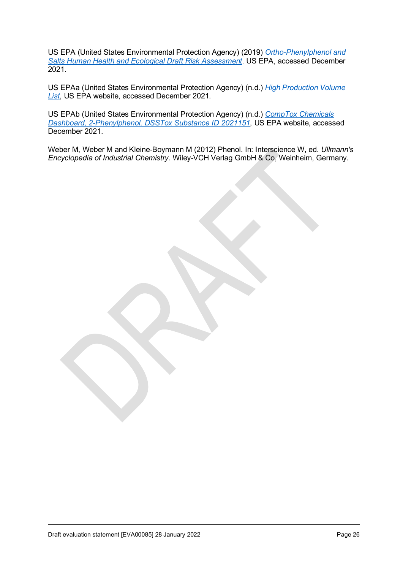US EPA (United States Environmental Protection Agency) (2019) *[Ortho-Phenylphenol and](https://www.regulations.gov/docket/EPA-HQ-OPP-2013-0524/document)  [Salts Human Health and Ecological Draft Risk Assessment](https://www.regulations.gov/docket/EPA-HQ-OPP-2013-0524/document)*. US EPA, accessed December 2021.

US EPAa (United States Environmental Protection Agency) (n.d.) *[High Production Volume](https://comptox.epa.gov/dashboard/chemical_lists/EPAHPV)  [List](https://comptox.epa.gov/dashboard/chemical_lists/EPAHPV)*, US EPA website, accessed December 2021.

US EPAb (United States Environmental Protection Agency) (n.d.) *[CompTox Chemicals](https://comptox.epa.gov/dashboard/DTXSID2021151)  [Dashboard, 2-Phenylphenol, DSSTox Substance ID 2021151](https://comptox.epa.gov/dashboard/DTXSID2021151)*, US EPA website, accessed December 2021.

Weber M, Weber M and Kleine-Boymann M (2012) Phenol. In: Interscience W, ed. *Ullmann's Encyclopedia of Industrial Chemistry*. Wiley-VCH Verlag GmbH & Co, Weinheim, Germany.

Draft evaluation statement [EVA00085] 28 January 2022 **Page 26** Page 26